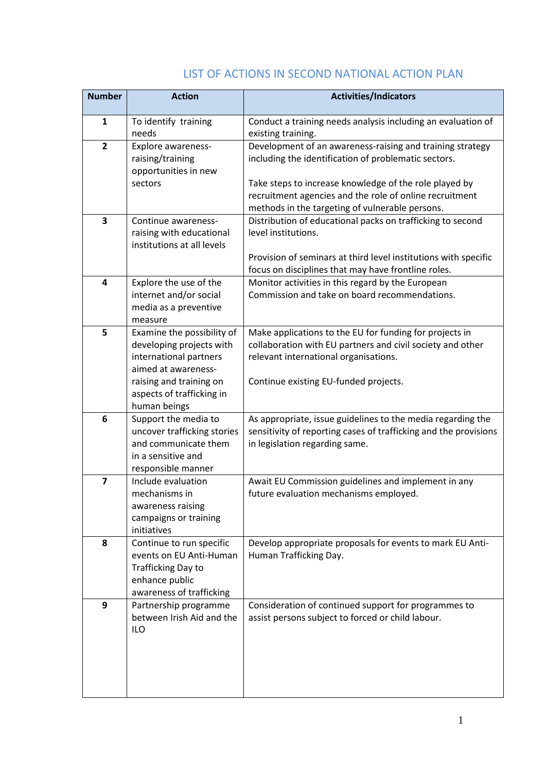| <b>Number</b>           | <b>Action</b>                                       | <b>Activities/Indicators</b>                                                                                                    |
|-------------------------|-----------------------------------------------------|---------------------------------------------------------------------------------------------------------------------------------|
| $\mathbf{1}$            | To identify training                                | Conduct a training needs analysis including an evaluation of                                                                    |
|                         | needs                                               | existing training.                                                                                                              |
| $\overline{2}$          | Explore awareness-                                  | Development of an awareness-raising and training strategy                                                                       |
|                         | raising/training                                    | including the identification of problematic sectors.                                                                            |
|                         | opportunities in new<br>sectors                     | Take steps to increase knowledge of the role played by                                                                          |
|                         |                                                     | recruitment agencies and the role of online recruitment                                                                         |
|                         |                                                     | methods in the targeting of vulnerable persons.                                                                                 |
| 3                       | Continue awareness-                                 | Distribution of educational packs on trafficking to second                                                                      |
|                         | raising with educational                            | level institutions.                                                                                                             |
|                         | institutions at all levels                          |                                                                                                                                 |
|                         |                                                     | Provision of seminars at third level institutions with specific<br>focus on disciplines that may have frontline roles.          |
| $\overline{\mathbf{4}}$ | Explore the use of the                              | Monitor activities in this regard by the European                                                                               |
|                         | internet and/or social                              | Commission and take on board recommendations.                                                                                   |
|                         | media as a preventive                               |                                                                                                                                 |
|                         | measure                                             |                                                                                                                                 |
| 5                       | Examine the possibility of                          | Make applications to the EU for funding for projects in                                                                         |
|                         | developing projects with<br>international partners  | collaboration with EU partners and civil society and other<br>relevant international organisations.                             |
|                         | aimed at awareness-                                 |                                                                                                                                 |
|                         | raising and training on                             | Continue existing EU-funded projects.                                                                                           |
|                         | aspects of trafficking in                           |                                                                                                                                 |
|                         | human beings                                        |                                                                                                                                 |
| 6                       | Support the media to                                | As appropriate, issue guidelines to the media regarding the<br>sensitivity of reporting cases of trafficking and the provisions |
|                         | uncover trafficking stories<br>and communicate them | in legislation regarding same.                                                                                                  |
|                         | in a sensitive and                                  |                                                                                                                                 |
|                         | responsible manner                                  |                                                                                                                                 |
| $\overline{7}$          | Include evaluation                                  | Await EU Commission guidelines and implement in any                                                                             |
|                         | mechanisms in                                       | future evaluation mechanisms employed.                                                                                          |
|                         | awareness raising<br>campaigns or training          |                                                                                                                                 |
|                         | initiatives                                         |                                                                                                                                 |
| 8                       | Continue to run specific                            | Develop appropriate proposals for events to mark EU Anti-                                                                       |
|                         | events on EU Anti-Human                             | Human Trafficking Day.                                                                                                          |
|                         | <b>Trafficking Day to</b>                           |                                                                                                                                 |
|                         | enhance public<br>awareness of trafficking          |                                                                                                                                 |
| 9                       | Partnership programme                               | Consideration of continued support for programmes to                                                                            |
|                         | between Irish Aid and the                           | assist persons subject to forced or child labour.                                                                               |
|                         | <b>ILO</b>                                          |                                                                                                                                 |
|                         |                                                     |                                                                                                                                 |
|                         |                                                     |                                                                                                                                 |
|                         |                                                     |                                                                                                                                 |
|                         |                                                     |                                                                                                                                 |

## LIST OF ACTIONS IN SECOND NATIONAL ACTION PLAN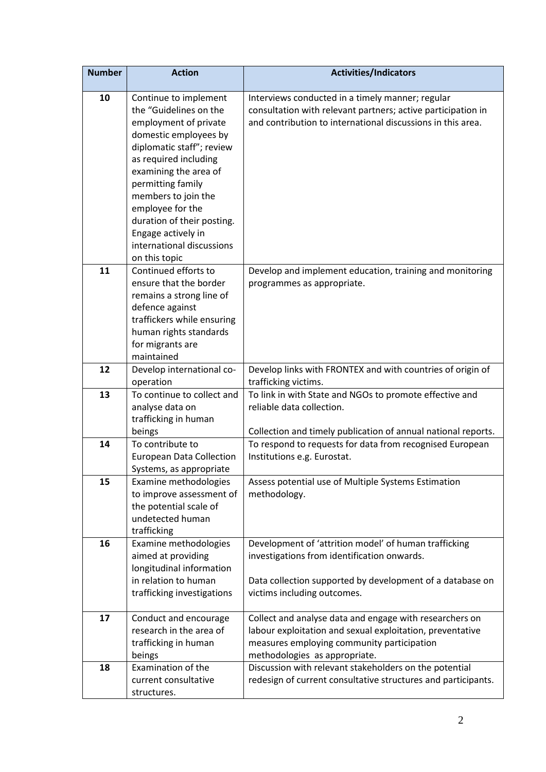| <b>Number</b> | <b>Action</b>                                    | <b>Activities/Indicators</b>                                                                                         |
|---------------|--------------------------------------------------|----------------------------------------------------------------------------------------------------------------------|
| 10            | Continue to implement                            | Interviews conducted in a timely manner; regular                                                                     |
|               | the "Guidelines on the                           | consultation with relevant partners; active participation in                                                         |
|               | employment of private                            | and contribution to international discussions in this area.                                                          |
|               | domestic employees by                            |                                                                                                                      |
|               | diplomatic staff"; review                        |                                                                                                                      |
|               | as required including                            |                                                                                                                      |
|               | examining the area of                            |                                                                                                                      |
|               | permitting family                                |                                                                                                                      |
|               | members to join the                              |                                                                                                                      |
|               | employee for the                                 |                                                                                                                      |
|               | duration of their posting.                       |                                                                                                                      |
|               | Engage actively in                               |                                                                                                                      |
|               | international discussions                        |                                                                                                                      |
|               | on this topic                                    |                                                                                                                      |
| 11            | Continued efforts to                             | Develop and implement education, training and monitoring                                                             |
|               | ensure that the border                           | programmes as appropriate.                                                                                           |
|               | remains a strong line of                         |                                                                                                                      |
|               | defence against                                  |                                                                                                                      |
|               | traffickers while ensuring                       |                                                                                                                      |
|               | human rights standards                           |                                                                                                                      |
|               | for migrants are                                 |                                                                                                                      |
|               | maintained                                       |                                                                                                                      |
| 12            | Develop international co-<br>operation           | Develop links with FRONTEX and with countries of origin of<br>trafficking victims.                                   |
| 13            | To continue to collect and                       | To link in with State and NGOs to promote effective and                                                              |
|               | analyse data on                                  | reliable data collection.                                                                                            |
|               | trafficking in human                             |                                                                                                                      |
|               | beings                                           | Collection and timely publication of annual national reports.                                                        |
| 14            | To contribute to                                 | To respond to requests for data from recognised European                                                             |
|               | <b>European Data Collection</b>                  | Institutions e.g. Eurostat.                                                                                          |
|               | Systems, as appropriate                          |                                                                                                                      |
| 15            | Examine methodologies                            | Assess potential use of Multiple Systems Estimation                                                                  |
|               | to improve assessment of                         | methodology.                                                                                                         |
|               | the potential scale of                           |                                                                                                                      |
|               | undetected human                                 |                                                                                                                      |
|               | trafficking                                      |                                                                                                                      |
| 16            | Examine methodologies                            | Development of 'attrition model' of human trafficking                                                                |
|               | aimed at providing                               | investigations from identification onwards.                                                                          |
|               | longitudinal information                         |                                                                                                                      |
|               | in relation to human                             | Data collection supported by development of a database on                                                            |
|               | trafficking investigations                       | victims including outcomes.                                                                                          |
|               |                                                  |                                                                                                                      |
| 17            | Conduct and encourage<br>research in the area of | Collect and analyse data and engage with researchers on<br>labour exploitation and sexual exploitation, preventative |
|               |                                                  |                                                                                                                      |
|               | trafficking in human<br>beings                   | measures employing community participation<br>methodologies as appropriate.                                          |
| 18            | Examination of the                               | Discussion with relevant stakeholders on the potential                                                               |
|               | current consultative                             | redesign of current consultative structures and participants.                                                        |
|               | structures.                                      |                                                                                                                      |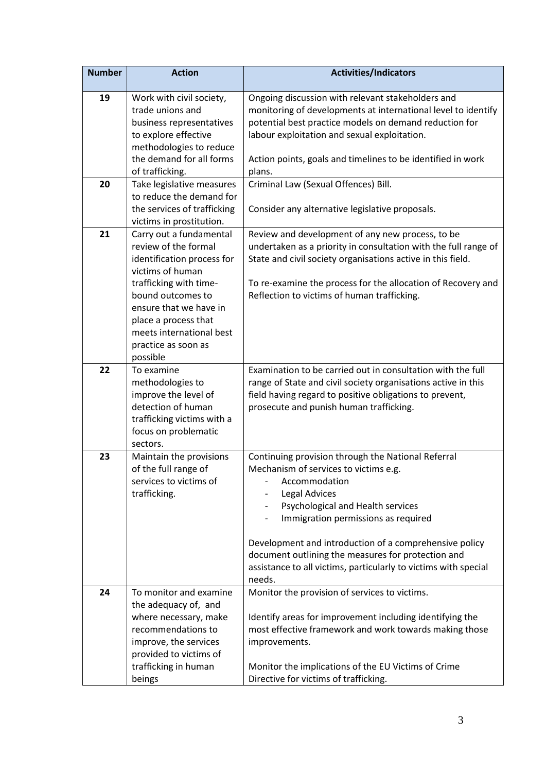| <b>Number</b> | <b>Action</b>                                                                                                                                                                      | <b>Activities/Indicators</b>                                                                                                                                                                                                                                                         |
|---------------|------------------------------------------------------------------------------------------------------------------------------------------------------------------------------------|--------------------------------------------------------------------------------------------------------------------------------------------------------------------------------------------------------------------------------------------------------------------------------------|
| 19            | Work with civil society,<br>trade unions and<br>business representatives<br>to explore effective<br>methodologies to reduce                                                        | Ongoing discussion with relevant stakeholders and<br>monitoring of developments at international level to identify<br>potential best practice models on demand reduction for<br>labour exploitation and sexual exploitation.                                                         |
|               | the demand for all forms<br>of trafficking.                                                                                                                                        | Action points, goals and timelines to be identified in work<br>plans.                                                                                                                                                                                                                |
| 20            | Take legislative measures<br>to reduce the demand for<br>the services of trafficking<br>victims in prostitution.                                                                   | Criminal Law (Sexual Offences) Bill.<br>Consider any alternative legislative proposals.                                                                                                                                                                                              |
| 21            | Carry out a fundamental<br>review of the formal<br>identification process for<br>victims of human<br>trafficking with time-                                                        | Review and development of any new process, to be<br>undertaken as a priority in consultation with the full range of<br>State and civil society organisations active in this field.<br>To re-examine the process for the allocation of Recovery and                                   |
|               | bound outcomes to<br>ensure that we have in<br>place a process that<br>meets international best<br>practice as soon as<br>possible                                                 | Reflection to victims of human trafficking.                                                                                                                                                                                                                                          |
| 22            | To examine<br>methodologies to<br>improve the level of<br>detection of human<br>trafficking victims with a<br>focus on problematic<br>sectors.                                     | Examination to be carried out in consultation with the full<br>range of State and civil society organisations active in this<br>field having regard to positive obligations to prevent,<br>prosecute and punish human trafficking.                                                   |
| 23            | Maintain the provisions<br>of the full range of<br>services to victims of<br>trafficking.                                                                                          | Continuing provision through the National Referral<br>Mechanism of services to victims e.g.<br>Accommodation<br>Legal Advices<br>Psychological and Health services<br>Immigration permissions as required                                                                            |
|               |                                                                                                                                                                                    | Development and introduction of a comprehensive policy<br>document outlining the measures for protection and<br>assistance to all victims, particularly to victims with special<br>needs.                                                                                            |
| 24            | To monitor and examine<br>the adequacy of, and<br>where necessary, make<br>recommendations to<br>improve, the services<br>provided to victims of<br>trafficking in human<br>beings | Monitor the provision of services to victims.<br>Identify areas for improvement including identifying the<br>most effective framework and work towards making those<br>improvements.<br>Monitor the implications of the EU Victims of Crime<br>Directive for victims of trafficking. |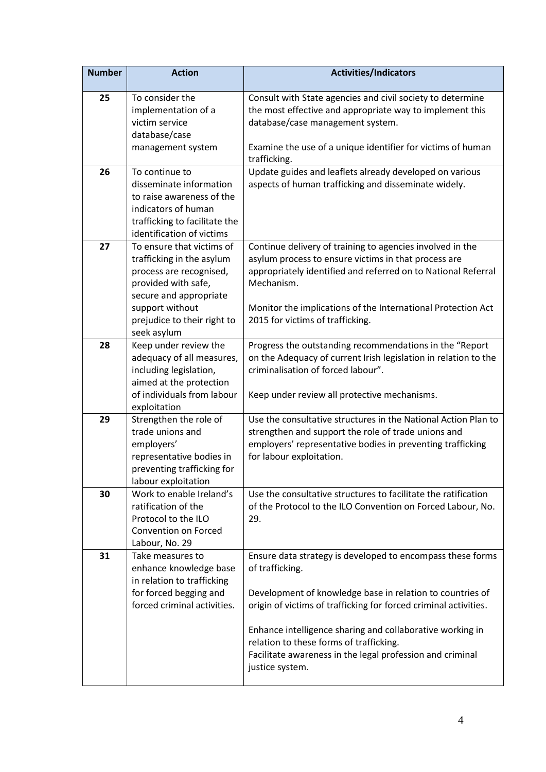| <b>Number</b> | <b>Action</b>                                                                                                                                                                                       | <b>Activities/Indicators</b>                                                                                                                                                                                                                                                                                                                                                                           |
|---------------|-----------------------------------------------------------------------------------------------------------------------------------------------------------------------------------------------------|--------------------------------------------------------------------------------------------------------------------------------------------------------------------------------------------------------------------------------------------------------------------------------------------------------------------------------------------------------------------------------------------------------|
| 25            | To consider the<br>implementation of a<br>victim service<br>database/case<br>management system                                                                                                      | Consult with State agencies and civil society to determine<br>the most effective and appropriate way to implement this<br>database/case management system.<br>Examine the use of a unique identifier for victims of human<br>trafficking.                                                                                                                                                              |
| 26            | To continue to<br>disseminate information<br>to raise awareness of the<br>indicators of human<br>trafficking to facilitate the<br>identification of victims                                         | Update guides and leaflets already developed on various<br>aspects of human trafficking and disseminate widely.                                                                                                                                                                                                                                                                                        |
| 27            | To ensure that victims of<br>trafficking in the asylum<br>process are recognised,<br>provided with safe,<br>secure and appropriate<br>support without<br>prejudice to their right to<br>seek asylum | Continue delivery of training to agencies involved in the<br>asylum process to ensure victims in that process are<br>appropriately identified and referred on to National Referral<br>Mechanism.<br>Monitor the implications of the International Protection Act<br>2015 for victims of trafficking.                                                                                                   |
| 28            | Keep under review the<br>adequacy of all measures,<br>including legislation,<br>aimed at the protection<br>of individuals from labour<br>exploitation                                               | Progress the outstanding recommendations in the "Report<br>on the Adequacy of current Irish legislation in relation to the<br>criminalisation of forced labour".<br>Keep under review all protective mechanisms.                                                                                                                                                                                       |
| 29            | Strengthen the role of<br>trade unions and<br>employers'<br>representative bodies in<br>preventing trafficking for<br>labour exploitation                                                           | Use the consultative structures in the National Action Plan to<br>strengthen and support the role of trade unions and<br>employers' representative bodies in preventing trafficking<br>for labour exploitation.                                                                                                                                                                                        |
| 30            | Work to enable Ireland's<br>ratification of the<br>Protocol to the ILO<br><b>Convention on Forced</b><br>Labour, No. 29                                                                             | Use the consultative structures to facilitate the ratification<br>of the Protocol to the ILO Convention on Forced Labour, No.<br>29.                                                                                                                                                                                                                                                                   |
| 31            | Take measures to<br>enhance knowledge base<br>in relation to trafficking<br>for forced begging and<br>forced criminal activities.                                                                   | Ensure data strategy is developed to encompass these forms<br>of trafficking.<br>Development of knowledge base in relation to countries of<br>origin of victims of trafficking for forced criminal activities.<br>Enhance intelligence sharing and collaborative working in<br>relation to these forms of trafficking.<br>Facilitate awareness in the legal profession and criminal<br>justice system. |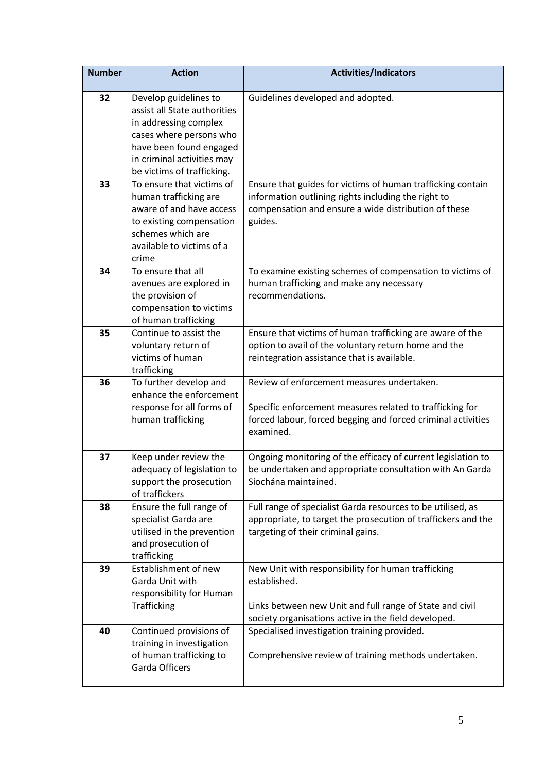| <b>Number</b> | <b>Action</b>                                                                                                                                                                                    | <b>Activities/Indicators</b>                                                                                                                                                           |
|---------------|--------------------------------------------------------------------------------------------------------------------------------------------------------------------------------------------------|----------------------------------------------------------------------------------------------------------------------------------------------------------------------------------------|
| 32            | Develop guidelines to<br>assist all State authorities<br>in addressing complex<br>cases where persons who<br>have been found engaged<br>in criminal activities may<br>be victims of trafficking. | Guidelines developed and adopted.                                                                                                                                                      |
| 33            | To ensure that victims of<br>human trafficking are<br>aware of and have access<br>to existing compensation<br>schemes which are<br>available to victims of a<br>crime                            | Ensure that guides for victims of human trafficking contain<br>information outlining rights including the right to<br>compensation and ensure a wide distribution of these<br>guides.  |
| 34            | To ensure that all<br>avenues are explored in<br>the provision of<br>compensation to victims<br>of human trafficking                                                                             | To examine existing schemes of compensation to victims of<br>human trafficking and make any necessary<br>recommendations.                                                              |
| 35            | Continue to assist the<br>voluntary return of<br>victims of human<br>trafficking                                                                                                                 | Ensure that victims of human trafficking are aware of the<br>option to avail of the voluntary return home and the<br>reintegration assistance that is available.                       |
| 36            | To further develop and<br>enhance the enforcement<br>response for all forms of<br>human trafficking                                                                                              | Review of enforcement measures undertaken.<br>Specific enforcement measures related to trafficking for<br>forced labour, forced begging and forced criminal activities<br>examined.    |
| 37            | Keep under review the<br>adequacy of legislation to<br>support the prosecution<br>of traffickers                                                                                                 | Ongoing monitoring of the efficacy of current legislation to<br>be undertaken and appropriate consultation with An Garda<br>Síochána maintained.                                       |
| 38            | Ensure the full range of<br>specialist Garda are<br>utilised in the prevention<br>and prosecution of<br>trafficking                                                                              | Full range of specialist Garda resources to be utilised, as<br>appropriate, to target the prosecution of traffickers and the<br>targeting of their criminal gains.                     |
| 39            | Establishment of new<br>Garda Unit with<br>responsibility for Human<br>Trafficking                                                                                                               | New Unit with responsibility for human trafficking<br>established.<br>Links between new Unit and full range of State and civil<br>society organisations active in the field developed. |
| 40            | Continued provisions of<br>training in investigation<br>of human trafficking to<br>Garda Officers                                                                                                | Specialised investigation training provided.<br>Comprehensive review of training methods undertaken.                                                                                   |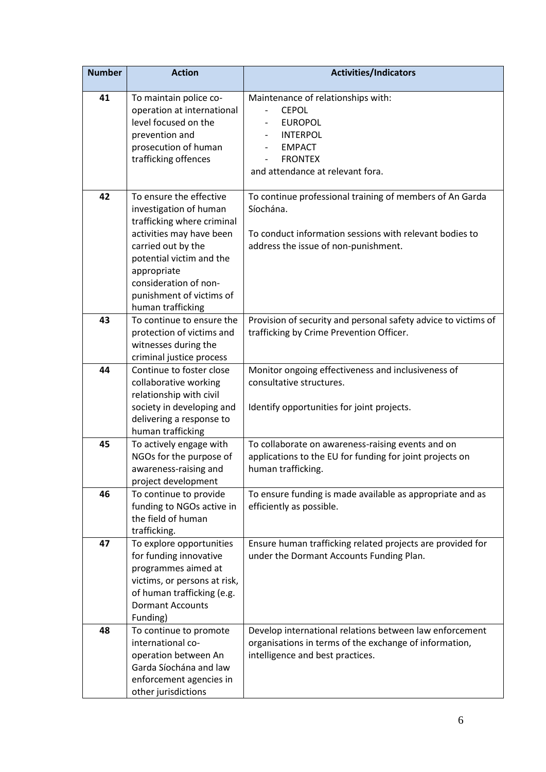| <b>Number</b> | <b>Action</b>                                                                                                                                                                                                                                          | <b>Activities/Indicators</b>                                                                                                                                             |
|---------------|--------------------------------------------------------------------------------------------------------------------------------------------------------------------------------------------------------------------------------------------------------|--------------------------------------------------------------------------------------------------------------------------------------------------------------------------|
| 41            | To maintain police co-<br>operation at international<br>level focused on the<br>prevention and<br>prosecution of human<br>trafficking offences                                                                                                         | Maintenance of relationships with:<br><b>CEPOL</b><br><b>EUROPOL</b><br><b>INTERPOL</b><br><b>EMPACT</b><br><b>FRONTEX</b><br>and attendance at relevant fora.           |
| 42            | To ensure the effective<br>investigation of human<br>trafficking where criminal<br>activities may have been<br>carried out by the<br>potential victim and the<br>appropriate<br>consideration of non-<br>punishment of victims of<br>human trafficking | To continue professional training of members of An Garda<br>Síochána.<br>To conduct information sessions with relevant bodies to<br>address the issue of non-punishment. |
| 43            | To continue to ensure the<br>protection of victims and<br>witnesses during the<br>criminal justice process                                                                                                                                             | Provision of security and personal safety advice to victims of<br>trafficking by Crime Prevention Officer.                                                               |
| 44            | Continue to foster close<br>collaborative working<br>relationship with civil<br>society in developing and<br>delivering a response to<br>human trafficking                                                                                             | Monitor ongoing effectiveness and inclusiveness of<br>consultative structures.<br>Identify opportunities for joint projects.                                             |
| 45            | To actively engage with<br>NGOs for the purpose of<br>awareness-raising and<br>project development                                                                                                                                                     | To collaborate on awareness-raising events and on<br>applications to the EU for funding for joint projects on<br>human trafficking.                                      |
| 46            | To continue to provide<br>funding to NGOs active in<br>the field of human<br>trafficking.                                                                                                                                                              | To ensure funding is made available as appropriate and as<br>efficiently as possible.                                                                                    |
| 47            | To explore opportunities<br>for funding innovative<br>programmes aimed at<br>victims, or persons at risk,<br>of human trafficking (e.g.<br><b>Dormant Accounts</b><br>Funding)                                                                         | Ensure human trafficking related projects are provided for<br>under the Dormant Accounts Funding Plan.                                                                   |
| 48            | To continue to promote<br>international co-<br>operation between An<br>Garda Síochána and law<br>enforcement agencies in<br>other jurisdictions                                                                                                        | Develop international relations between law enforcement<br>organisations in terms of the exchange of information,<br>intelligence and best practices.                    |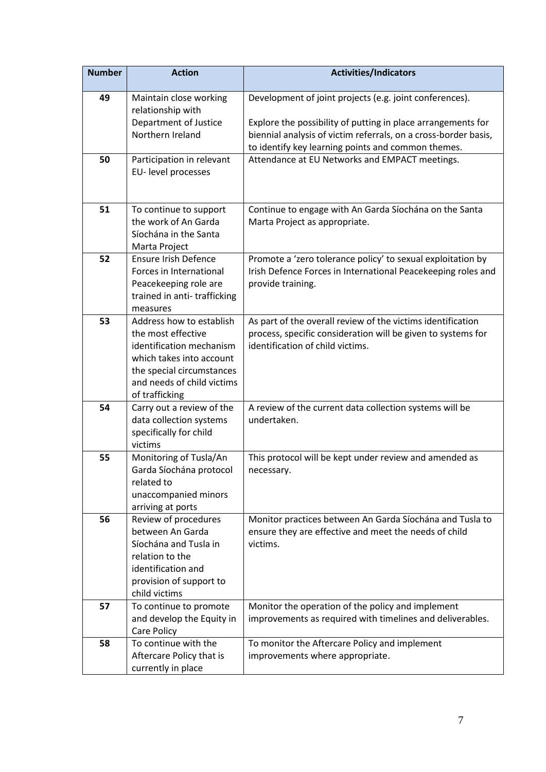| Development of joint projects (e.g. joint conferences).<br>49<br>Maintain close working<br>relationship with                                                                                |  |
|---------------------------------------------------------------------------------------------------------------------------------------------------------------------------------------------|--|
|                                                                                                                                                                                             |  |
| Department of Justice                                                                                                                                                                       |  |
| Explore the possibility of putting in place arrangements for<br>Northern Ireland<br>biennial analysis of victim referrals, on a cross-border basis,                                         |  |
| to identify key learning points and common themes.                                                                                                                                          |  |
| Attendance at EU Networks and EMPACT meetings.<br>50<br>Participation in relevant                                                                                                           |  |
| EU-level processes                                                                                                                                                                          |  |
|                                                                                                                                                                                             |  |
| 51<br>To continue to support<br>Continue to engage with An Garda Síochána on the Santa                                                                                                      |  |
| the work of An Garda<br>Marta Project as appropriate.                                                                                                                                       |  |
| Síochána in the Santa                                                                                                                                                                       |  |
| Marta Project                                                                                                                                                                               |  |
| Promote a 'zero tolerance policy' to sexual exploitation by<br>52<br><b>Ensure Irish Defence</b><br>Forces in International<br>Irish Defence Forces in International Peacekeeping roles and |  |
| Peacekeeping role are<br>provide training.                                                                                                                                                  |  |
| trained in anti-trafficking                                                                                                                                                                 |  |
| measures                                                                                                                                                                                    |  |
| 53<br>Address how to establish<br>As part of the overall review of the victims identification                                                                                               |  |
| the most effective<br>process, specific consideration will be given to systems for                                                                                                          |  |
| identification of child victims.<br>identification mechanism                                                                                                                                |  |
| which takes into account<br>the special circumstances                                                                                                                                       |  |
| and needs of child victims                                                                                                                                                                  |  |
| of trafficking                                                                                                                                                                              |  |
| Carry out a review of the<br>A review of the current data collection systems will be<br>54                                                                                                  |  |
| data collection systems<br>undertaken.                                                                                                                                                      |  |
| specifically for child                                                                                                                                                                      |  |
| victims<br>Monitoring of Tusla/An<br>55<br>This protocol will be kept under review and amended as                                                                                           |  |
| Garda Síochána protocol<br>necessary.                                                                                                                                                       |  |
| related to                                                                                                                                                                                  |  |
| unaccompanied minors                                                                                                                                                                        |  |
| arriving at ports                                                                                                                                                                           |  |
| 56<br>Review of procedures<br>Monitor practices between An Garda Síochána and Tusla to                                                                                                      |  |
| between An Garda<br>ensure they are effective and meet the needs of child                                                                                                                   |  |
| Síochána and Tusla in<br>victims.<br>relation to the                                                                                                                                        |  |
| identification and                                                                                                                                                                          |  |
| provision of support to                                                                                                                                                                     |  |
| child victims                                                                                                                                                                               |  |
| 57<br>Monitor the operation of the policy and implement<br>To continue to promote                                                                                                           |  |
| and develop the Equity in<br>improvements as required with timelines and deliverables.                                                                                                      |  |
| Care Policy                                                                                                                                                                                 |  |
| To continue with the<br>58<br>To monitor the Aftercare Policy and implement                                                                                                                 |  |
| improvements where appropriate.<br>Aftercare Policy that is<br>currently in place                                                                                                           |  |